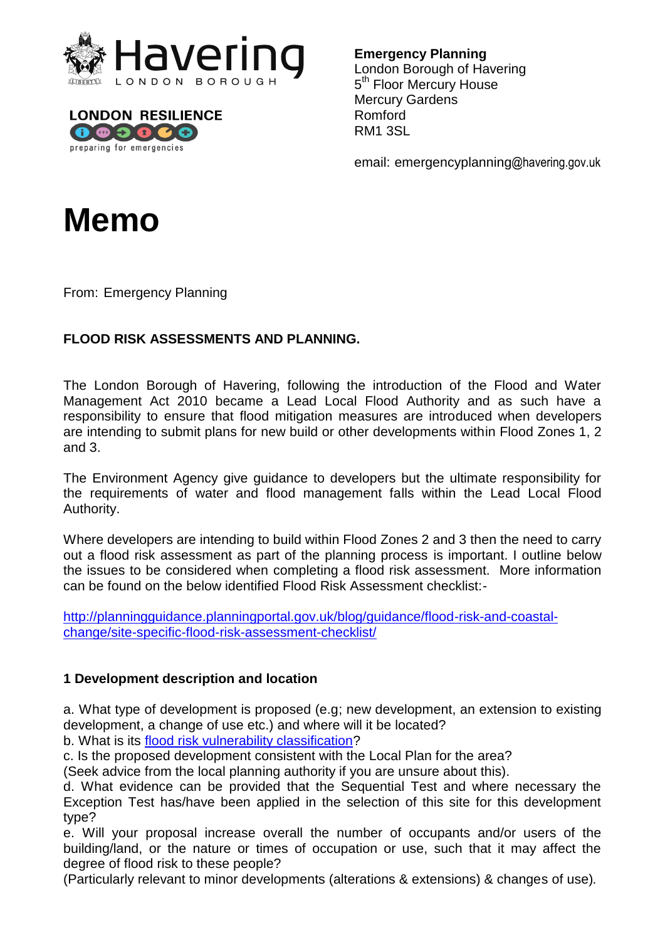



**Emergency Planning** 

London Borough of Havering 5<sup>th</sup> Floor Mercury House Mercury Gardens Romford RM1 3SL

email: emergencyplanning@havering.gov.uk



From: Emergency Planning

## **FLOOD RISK ASSESSMENTS AND PLANNING.**

 The London Borough of Havering, following the introduction of the Flood and Water Management Act 2010 became a Lead Local Flood Authority and as such have a responsibility to ensure that flood mitigation measures are introduced when developers are intending to submit plans for new build or other developments within Flood Zones 1, 2 and 3.

 The Environment Agency give guidance to developers but the ultimate responsibility for the requirements of water and flood management falls within the Lead Local Flood Authority.

 out a flood risk assessment as part of the planning process is important. I outline below the issues to be considered when completing a flood risk assessment. More information Where developers are intending to build within Flood Zones 2 and 3 then the need to carry can be found on the below identified Flood Risk Assessment checklist:-

http://planningguidance.planningportal.gov.uk/blog/guidance/flood-risk-and-coastalchange/site-specific-flood-risk-assessment-checklist/

#### **1 Development description and location**

 a. What type of development is proposed (e.g; new development, an extension to existing development, a change of use etc.) and where will it be located?

b. What is its flood risk vulnerability classification?

c. Is the proposed development consistent with the Local Plan for the area?

(Seek advice from the local planning authority if you are unsure about this).

 d. What evidence can be provided that the Sequential Test and where necessary the Exception Test has/have been applied in the selection of this site for this development type?

 e. Will your proposal increase overall the number of occupants and/or users of the building/land, or the nature or times of occupation or use, such that it may affect the degree of flood risk to these people?

(Particularly relevant to minor developments (alterations & extensions) & changes of use)*.*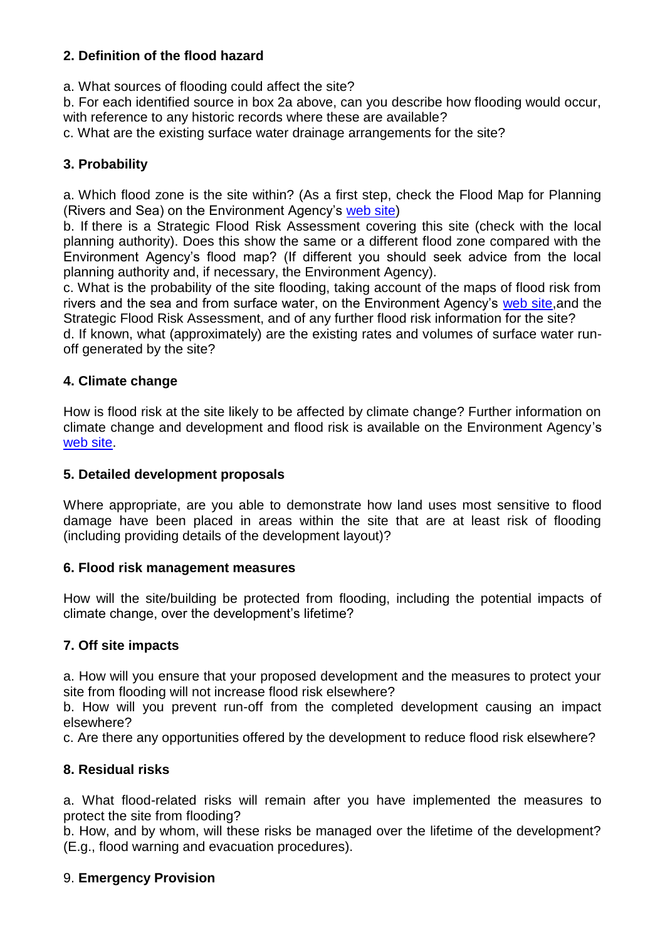# **2. Definition of the flood hazard**

a. What sources of flooding could affect the site?

 b. For each identified source in box 2a above, can you describe how flooding would occur, with reference to any historic records where these are available?

c. What are the existing surface water drainage arrangements for the site?

# **3. Probability**

 a. Which flood zone is the site within? (As a first step, check the Flood Map for Planning (Rivers and Sea) on the Environment Agency's web site)

 b. If there is a Strategic Flood Risk Assessment covering this site (check with the local planning authority). Does this show the same or a different flood zone compared with the Environment Agency's flood map? (If different you should seek advice from the local planning authority and, if necessary, the Environment Agency).

 c. What is the probability of the site flooding, taking account of the maps of flood risk from rivers and the sea and from surface water, on the Environment Agency's web site,and the Strategic Flood Risk Assessment, and of any further flood risk information for the site?

 d. If known, what (approximately) are the existing rates and volumes of surface water runoff generated by the site?

### **4. Climate change**

 How is flood risk at the site likely to be affected by climate change? Further information on climate change and development and flood risk is available on the Environment Agency's web site.

#### **5. Detailed development proposals**

 Where appropriate, are you able to demonstrate how land uses most sensitive to flood damage have been placed in areas within the site that are at least risk of flooding (including providing details of the development layout)?

#### **6. Flood risk management measures**

 How will the site/building be protected from flooding, including the potential impacts of climate change, over the development's lifetime?

## **7. Off site impacts**

 a. How will you ensure that your proposed development and the measures to protect your site from flooding will not increase flood risk elsewhere?

 b. How will you prevent run-off from the completed development causing an impact elsewhere?

c. Are there any opportunities offered by the development to reduce flood risk elsewhere?

## **8. Residual risks**

 a. What flood-related risks will remain after you have implemented the measures to protect the site from flooding?

 b. How, and by whom, will these risks be managed over the lifetime of the development? (E.g., flood warning and evacuation procedures).

## 9. **Emergency Provision**